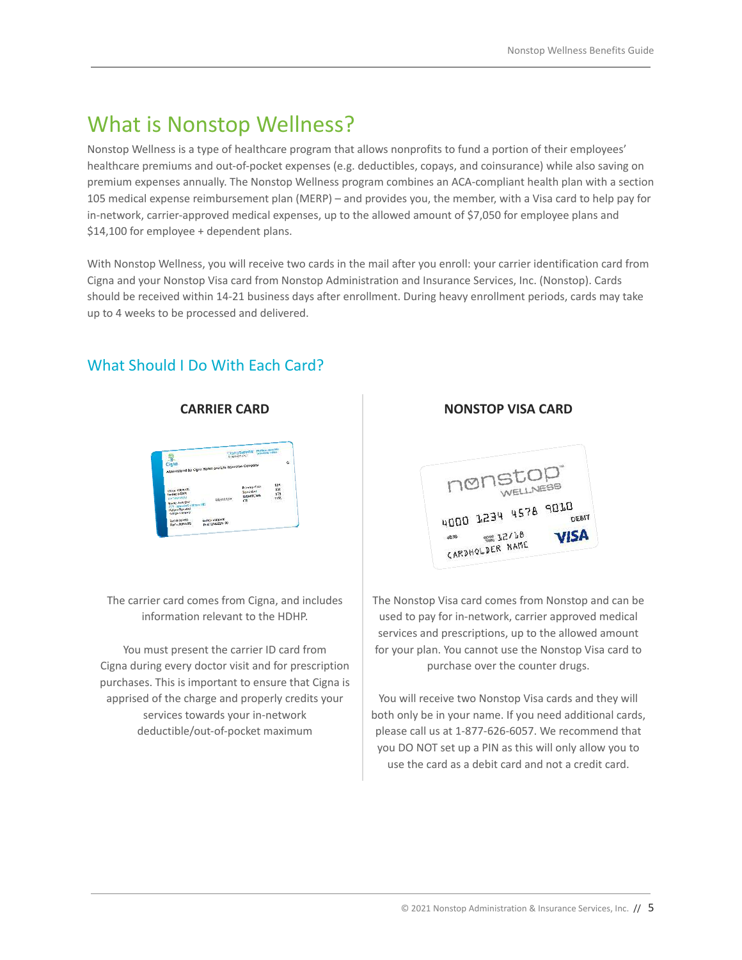# What is Nonstop Wellness?

Nonstop Wellness is a type of healthcare program that allows nonprofits to fund a portion of their employees' healthcare premiums and out-of-pocket expenses (e.g. deductibles, copays, and coinsurance) while also saving on premium expenses annually. The Nonstop Wellness program combines an ACA-compliant health plan with a section 105 medical expense reimbursement plan (MERP) – and provides you, the member, with a Visa card to help pay for in-network, carrier-approved medical expenses, up to the allowed amount of \$7,050 for employee plans and \$14,100 for employee + dependent plans.

With Nonstop Wellness, you will receive two cards in the mail after you enroll: your carrier identification card from Cigna and your Nonstop Visa card from Nonstop Administration and Insurance Services, Inc. (Nonstop). Cards should be received within 14-21 business days after enrollment. During heavy enrollment periods, cards may take up to 4 weeks to be processed and delivered.

What Should I Do With Each Card?

The carrier card comes from Cigna, and includes information relevant to the HDHP.

You must present the carrier ID card from Cigna during every doctor visit and for prescription purchases. This is important to ensure that Cigna is apprised of the charge and properly credits your services towards your in-network deductible/out-of-pocket maximum

### **CARRIER CARD NONSTOP VISA CARD**



The Nonstop Visa card comes from Nonstop and can be used to pay for in-network, carrier approved medical services and prescriptions, up to the allowed amount for your plan. You cannot use the Nonstop Visa card to purchase over the counter drugs.

You will receive two Nonstop Visa cards and they will both only be in your name. If you need additional cards, please call us at 1-877-626-6057. We recommend that you DO NOT set up a PIN as this will only allow you to use the card as a debit card and not a credit card.